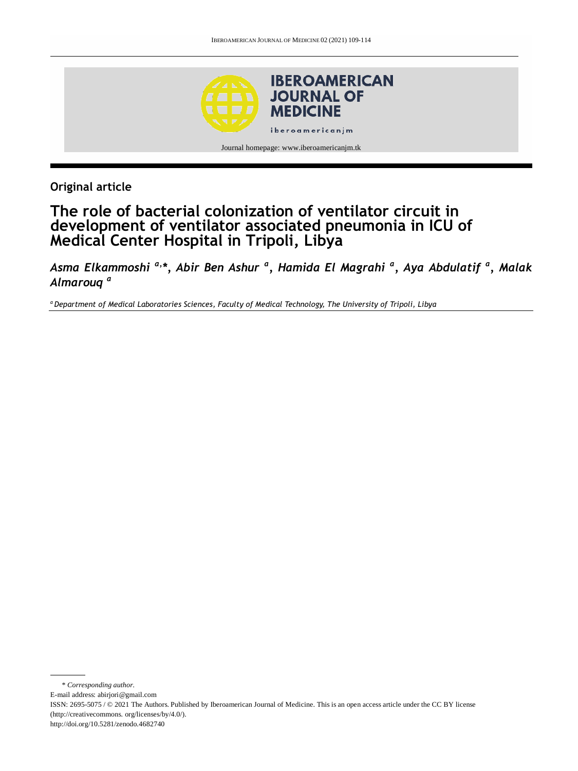

**Original article**

# **The role of bacterial colonization of ventilator circuit in development of ventilator associated pneumonia in ICU of Medical Center Hospital in Tripoli, Libya**

*Asma Elkammoshi a,\*, Abir Ben Ashur <sup>a</sup> , Hamida El Magrahi <sup>a</sup> , Aya Abdulatif <sup>a</sup> , Malak Almarouq <sup>a</sup>*

*<sup>a</sup> Department of Medical Laboratories Sciences, Faculty of Medical Technology, The University of Tripoli, Libya* 

\* *Corresponding author.* E-mail address: abirjori@gmail.com ISSN: 2695-5075 / © 2021 The Authors. Published by Iberoamerican Journal of Medicine. This is an open access article under the CC BY license (http://creativecommons. org/licenses/by/4.0/). http://doi.org/10.5281/zenodo.4682740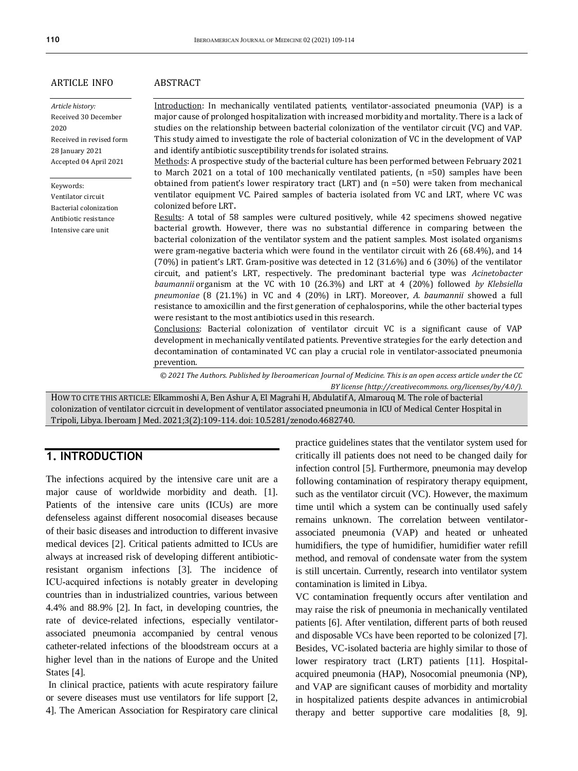#### ARTICLE INFO

*Article history:* Received 30 December 2020 Received in revised form 28 January 2021 Accepted 04 April 2021

Keywords: Ventilator circuit Bacterial colonization Antibiotic resistance Intensive care unit

#### ABSTRACT

Introduction: In mechanically ventilated patients, ventilator-associated pneumonia (VAP) is a major cause of prolonged hospitalization with increased morbidity and mortality. There is a lack of studies on the relationship between bacterial colonization of the ventilator circuit (VC) and VAP. This study aimed to investigate the role of bacterial colonization of VC in the development of VAP and identify antibiotic susceptibility trends for isolated strains.

Methods: A prospective study of the bacterial culture has been performed between February 2021 to March 2021 on a total of 100 mechanically ventilated patients, (n =50) samples have been obtained from patient's lower respiratory tract (LRT) and (n =50) were taken from mechanical ventilator equipment VC. Paired samples of bacteria isolated from VC and LRT, where VC was colonized before LRT**.**

Results: A total of 58 samples were cultured positively, while 42 specimens showed negative bacterial growth. However, there was no substantial difference in comparing between the bacterial colonization of the ventilator system and the patient samples. Most isolated organisms were gram-negative bacteria which were found in the ventilator circuit with 26 (68.4%), and 14 (70%) in patient's LRT. Gram-positive was detected in 12 (31.6%) and 6 (30%) of the ventilator circuit, and patient's LRT, respectively. The predominant bacterial type was *Acinetobacter baumannii* organism at the VC with 10 (26.3%) and LRT at 4 (20%) followed *by Klebsiella pneumoniae* (8 (21.1%) in VC and 4 (20%) in LRT). Moreover, *A. baumannii* showed a full resistance to amoxicillin and the first generation of cephalosporins, while the other bacterial types were resistant to the most antibiotics used in this research.

Conclusions: Bacterial colonization of ventilator circuit VC is a significant cause of VAP development in mechanically ventilated patients. Preventive strategies for the early detection and decontamination of contaminated VC can play a crucial role in ventilator-associated pneumonia prevention.

*© 2021 The Authors. Published by Iberoamerican Journal of Medicine. This is an open access article under the CC BY license (http:/[/creativecommons. org/licenses/by/4.0/\)](https://creativecommons.org/licenses/by/4.0/).*

HOW TO CITE THIS ARTICLE: Elkammoshi A, Ben Ashur A, El Magrahi H, Abdulatif A, Almarouq M. The role of bacterial colonization of ventilator cicrcuit in development of ventilator associated pneumonia in ICU of Medical Center Hospital in Tripoli, Libya. Iberoam J Med. 2021;3(2):109-114. doi[: 10.5281/zenodo.4682740.](http://doi.org/10.5281/zenodo.4682740)

## **1. INTRODUCTION**

The infections acquired by the intensive care unit are a major cause of worldwide morbidity and death. [1]. Patients of the intensive care units (ICUs) are more defenseless against different nosocomial diseases because of their basic diseases and introduction to different invasive medical devices [2]. Critical patients admitted to ICUs are always at increased risk of developing different antibioticresistant organism infections [3]. The incidence of ICU‑acquired infections is notably greater in developing countries than in industrialized countries, various between 4.4% and 88.9% [2]. In fact, in developing countries, the rate of device-related infections, especially ventilatorassociated pneumonia accompanied by central venous catheter-related infections of the bloodstream occurs at a higher level than in the nations of Europe and the United States [4].

In clinical practice, patients with acute respiratory failure or severe diseases must use ventilators for life support [2, 4]. The American Association for Respiratory care clinical

practice guidelines states that the ventilator system used for critically ill patients does not need to be changed daily for infection control [5]. Furthermore, pneumonia may develop following contamination of respiratory therapy equipment, such as the ventilator circuit (VC). However, the maximum time until which a system can be continually used safely remains unknown. The correlation between ventilatorassociated pneumonia (VAP) and heated or unheated humidifiers, the type of humidifier, humidifier water refill method, and removal of condensate water from the system is still uncertain. Currently, research into ventilator system contamination is limited in Libya.

VC contamination frequently occurs after ventilation and may raise the risk of pneumonia in mechanically ventilated patients [6]. After ventilation, different parts of both reused and disposable VCs have been reported to be colonized [7]. Besides, VC-isolated bacteria are highly similar to those of lower respiratory tract (LRT) patients [11]. Hospitalacquired pneumonia (HAP), Nosocomial pneumonia (NP), and VAP are significant causes of morbidity and mortality in hospitalized patients despite advances in antimicrobial therapy and better supportive care modalities [8, 9].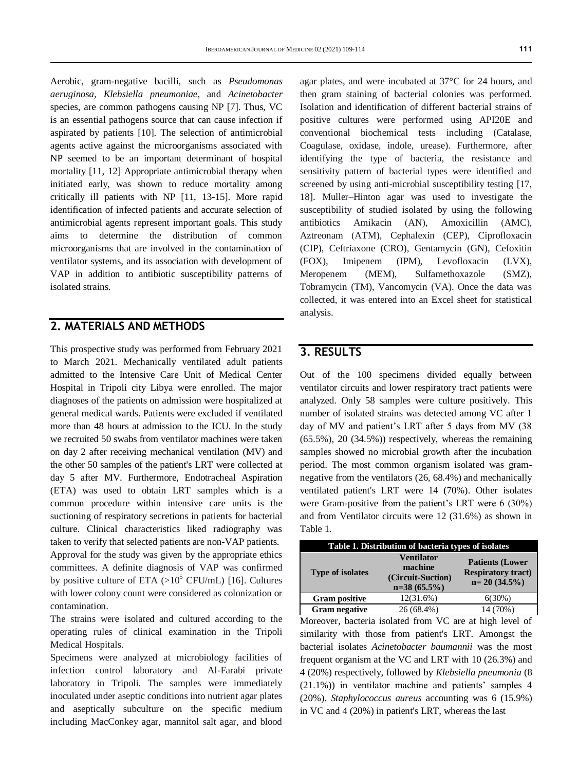Aerobic, gram-negative bacilli, such as *Pseudomonas aeruginosa, Klebsiella pneumoniae*, and *Acinetobacter*  species, are common pathogens causing NP [7]. Thus, VC is an essential pathogens source that can cause infection if aspirated by patients [10]. The selection of antimicrobial agents active against the microorganisms associated with NP seemed to be an important determinant of hospital mortality [11, 12] Appropriate antimicrobial therapy when initiated early, was shown to reduce mortality among critically ill patients with NP [11, 13-15]. More rapid identification of infected patients and accurate selection of antimicrobial agents represent important goals. This study aims to determine the distribution of common microorganisms that are involved in the contamination of ventilator systems, and its association with development of VAP in addition to antibiotic susceptibility patterns of isolated strains.

## **2. MATERIALS AND METHODS**

This prospective study was performed from February 2021 to March 2021. Mechanically ventilated adult patients admitted to the Intensive Care Unit of Medical Center Hospital in Tripoli city Libya were enrolled. The major diagnoses of the patients on admission were hospitalized at general medical wards. Patients were excluded if ventilated more than 48 hours at admission to the ICU. In the study we recruited 50 swabs from ventilator machines were taken on day 2 after receiving mechanical ventilation (MV) and the other 50 samples of the patient's LRT were collected at day 5 after MV. Furthermore, Endotracheal Aspiration (ETA) was used to obtain LRT samples which is a common procedure within intensive care units is the suctioning of respiratory secretions in patients for bacterial culture. Clinical characteristics liked radiography was taken to verify that selected patients are non-VAP patients. Approval for the study was given by the appropriate ethics committees. A definite diagnosis of VAP was confirmed by positive culture of ETA  $(>10^5 \text{ CFU/mL})$  [16]. Cultures with lower colony count were considered as colonization or contamination.

The strains were isolated and cultured according to the operating rules of clinical examination in the Tripoli Medical Hospitals.

Specimens were analyzed at microbiology facilities of infection control laboratory and Al-Farabi private laboratory in Tripoli. The samples were immediately inoculated under aseptic conditions into nutrient agar plates and aseptically subculture on the specific medium including MacConkey agar, mannitol salt agar, and blood

agar plates, and were incubated at 37°C for 24 hours, and then gram staining of bacterial colonies was performed. Isolation and identification of different bacterial strains of positive cultures were performed using API20E and conventional biochemical tests including (Catalase, Coagulase, oxidase, indole, urease). Furthermore, after identifying the type of bacteria, the resistance and sensitivity pattern of bacterial types were identified and screened by using anti-microbial susceptibility testing [17, 18]. Muller–Hinton agar was used to investigate the susceptibility of studied isolated by using the following antibiotics Amikacin (AN), Amoxicillin (AMC), Aztreonam (ATM), Cephalexin (CEP), Ciprofloxacin (CIP), Ceftriaxone (CRO), Gentamycin (GN), Cefoxitin (FOX), Imipenem (IPM), Levofloxacin (LVX), Meropenem (MEM), Sulfamethoxazole (SMZ), Tobramycin (TM), Vancomycin (VA). Once the data was collected, it was entered into an Excel sheet for statistical analysis.

## **3. RESULTS**

Out of the 100 specimens divided equally between ventilator circuits and lower respiratory tract patients were analyzed. Only 58 samples were culture positively. This number of isolated strains was detected among VC after 1 day of MV and patient's LRT after 5 days from MV (38 (65.5%), 20 (34.5%)) respectively, whereas the remaining samples showed no microbial growth after the incubation period. The most common organism isolated was gramnegative from the ventilators (26, 68.4%) and mechanically ventilated patient's LRT were 14 (70%). Other isolates were Gram-positive from the patient's LRT were 6 (30%) and from Ventilator circuits were 12 (31.6%) as shown in Table 1.

| Table 1. Distribution of bacteria types of isolates |                                                                     |                                                                      |  |  |  |  |  |
|-----------------------------------------------------|---------------------------------------------------------------------|----------------------------------------------------------------------|--|--|--|--|--|
| <b>Type of isolates</b>                             | <b>Ventilator</b><br>machine<br>(Circuit-Suction)<br>$n=38(65.5\%)$ | <b>Patients (Lower</b><br><b>Respiratory tract)</b><br>$n=20(34.5%)$ |  |  |  |  |  |
| <b>Gram positive</b>                                | 12(31.6%)                                                           | 6(30%)                                                               |  |  |  |  |  |
| <b>Gram negative</b>                                | 26 (68.4%)                                                          | 14 (70%)                                                             |  |  |  |  |  |

Moreover, bacteria isolated from VC are at high level of similarity with those from patient's LRT. Amongst the bacterial isolates *Acinetobacter baumannii* was the most frequent organism at the VC and LRT with 10 (26.3%) and 4 (20%) respectively, followed by *Klebsiella pneumonia* (8 (21.1%)) in ventilator machine and patients' samples 4 (20%). *Staphylococcus aureus* accounting was 6 (15.9%) in VC and 4 (20%) in patient's LRT, whereas the last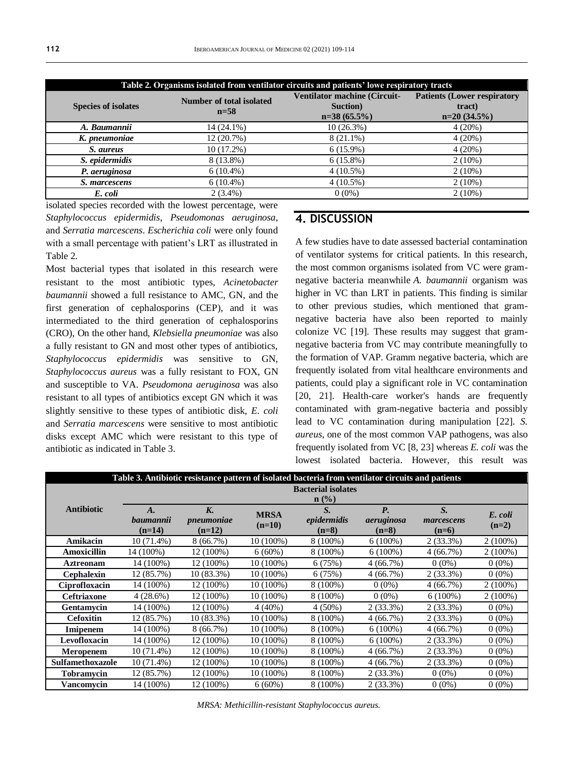| Table 2. Organisms isolated from ventilator circuits and patients' lowe respiratory tracts |                                           |                                                                   |                                                               |  |  |  |  |
|--------------------------------------------------------------------------------------------|-------------------------------------------|-------------------------------------------------------------------|---------------------------------------------------------------|--|--|--|--|
| <b>Species of isolates</b>                                                                 | <b>Number of total isolated</b><br>$n=58$ | <b>Ventilator machine (Circuit-</b><br>Suction)<br>$n=38(65.5\%)$ | <b>Patients (Lower respiratory</b><br>tract)<br>$n=20(34.5%)$ |  |  |  |  |
| A. Baumannii                                                                               | 14 (24.1%)                                | $10(26.3\%)$                                                      | 4(20%)                                                        |  |  |  |  |
| K. pneumoniae                                                                              | 12 (20.7%)                                | $8(21.1\%)$                                                       | 4(20%)                                                        |  |  |  |  |
| S. aureus                                                                                  | 10(17.2%)                                 | $6(15.9\%)$                                                       | 4(20%)                                                        |  |  |  |  |
| S. epidermidis                                                                             | 8 (13.8%)                                 | $6(15.8\%)$                                                       | $2(10\%)$                                                     |  |  |  |  |
| P. aeruginosa                                                                              | $6(10.4\%)$                               | $4(10.5\%)$                                                       | $2(10\%)$                                                     |  |  |  |  |
| S. marcescens                                                                              | $6(10.4\%)$                               | $4(10.5\%)$                                                       | $2(10\%)$                                                     |  |  |  |  |
| E. coli                                                                                    | $2(3.4\%)$                                | $0(0\%)$                                                          | $2(10\%)$                                                     |  |  |  |  |

isolated species recorded with the lowest percentage, were *Staphylococcus epidermidis*, *Pseudomonas aeruginosa*, and *Serratia marcescens*. *Escherichia coli* were only found with a small percentage with patient's LRT as illustrated in Table 2.

Most bacterial types that isolated in this research were resistant to the most antibiotic types, *Acinetobacter baumannii* showed a full resistance to AMC, GN, and the first generation of cephalosporins (CEP), and it was intermediated to the third generation of cephalosporins (CRO), On the other hand, *Klebsiella pneumoniae* was also a fully resistant to GN and most other types of antibiotics, *Staphylococcus epidermidis* was sensitive to GN, *Staphylococcus aureus* was a fully resistant to FOX, GN and susceptible to VA. *Pseudomona aeruginosa* was also resistant to all types of antibiotics except GN which it was slightly sensitive to these types of antibiotic disk, *E. coli* and *Serratia marcescens* were sensitive to most antibiotic disks except AMC which were resistant to this type of antibiotic as indicated in Table 3.

### **4. DISCUSSION**

A few studies have to date assessed bacterial contamination of ventilator systems for critical patients. In this research, the most common organisms isolated from VC were gramnegative bacteria meanwhile *A. baumannii* organism was higher in VC than LRT in patients. This finding is similar to other previous studies, which mentioned that gramnegative bacteria have also been reported to mainly colonize VC [19]. These results may suggest that gramnegative bacteria from VC may contribute meaningfully to the formation of VAP. Gramm negative bacteria, which are frequently isolated from vital healthcare environments and patients, could play a significant role in VC contamination [20, 21]. Health-care worker's hands are frequently contaminated with gram-negative bacteria and possibly lead to VC contamination during manipulation [22]. *S. aureus*, one of the most common VAP pathogens, was also frequently isolated from VC [8, 23] whereas *E. coli* was the lowest isolated bacteria. However, this result was

| Table 3. Antibiotic resistance pattern of isolated bacteria from ventilator circuits and patients |                       |                        |             |                           |             |             |            |
|---------------------------------------------------------------------------------------------------|-----------------------|------------------------|-------------|---------------------------|-------------|-------------|------------|
|                                                                                                   |                       |                        |             | <b>Bacterial isolates</b> |             |             |            |
|                                                                                                   | $n$ (%)               |                        |             |                           |             |             |            |
| <b>Antibiotic</b>                                                                                 | A.                    | K.                     | <b>MRSA</b> | S.                        | <b>P</b> .  | S.          | E. coli    |
|                                                                                                   | baumannii<br>$(n=14)$ | pneumoniae<br>$(n=12)$ | $(n=10)$    | epidermidis<br>$(n=8)$    | aeruginosa  | marcescens  | $(n=2)$    |
|                                                                                                   |                       |                        |             |                           | $(n=8)$     | $(n=6)$     |            |
| Amikacin                                                                                          | $10(71.4\%)$          | 8(66.7%)               | $10(100\%)$ | $8(100\%)$                | $6(100\%)$  | $2(33.3\%)$ | $2(100\%)$ |
| Amoxicillin                                                                                       | 14 (100%)             | 12 (100%)              | $6(60\%)$   | $8(100\%)$                | $6(100\%)$  | 4(66.7%)    | $2(100\%)$ |
| <b>Aztreonam</b>                                                                                  | 14 (100%)             | 12 (100%)              | $10(100\%)$ | 6(75%)                    | 4(66.7%)    | $0(0\%)$    | $0(0\%)$   |
| <b>Cephalexin</b>                                                                                 | 12 (85.7%)            | $10(83.3\%)$           | 10 (100%)   | 6(75%)                    | 4(66.7%)    | $2(33.3\%)$ | $0(0\%)$   |
| Ciprofloxacin                                                                                     | 14 (100%)             | 12 (100%)              | $10(100\%)$ | $8(100\%)$                | $0(0\%)$    | 4(66.7%)    | $2(100\%)$ |
| <b>Ceftriaxone</b>                                                                                | 4(28.6%)              | 12 (100%)              | $10(100\%)$ | 8 (100%)                  | $0(0\%)$    | $6(100\%)$  | $2(100\%)$ |
| <b>Gentamycin</b>                                                                                 | 14 (100%)             | 12 (100%)              | $4(40\%)$   | $4(50\%)$                 | $2(33.3\%)$ | $2(33.3\%)$ | $0(0\%)$   |
| <b>Cefoxitin</b>                                                                                  | 12 (85.7%)            | 10 (83.3%)             | $10(100\%)$ | $8(100\%)$                | 4(66.7%)    | $2(33.3\%)$ | $0(0\%)$   |
| Imipenem                                                                                          | 14 (100%)             | 8(66.7%)               | $10(100\%)$ | $8(100\%)$                | $6(100\%)$  | 4(66.7%)    | $0(0\%)$   |
| Levofloxacin                                                                                      | 14 (100%)             | 12 (100%)              | $10(100\%)$ | $8(100\%)$                | $6(100\%)$  | $2(33.3\%)$ | $0(0\%)$   |
| <b>Meropenem</b>                                                                                  | $10(71.4\%)$          | 12 (100%)              | $10(100\%)$ | $8(100\%)$                | 4(66.7%)    | $2(33.3\%)$ | $0(0\%)$   |
| Sulfamethoxazole                                                                                  | $10(71.4\%)$          | 12 (100%)              | 10 (100%)   | $8(100\%)$                | 4(66.7%)    | $2(33.3\%)$ | $0(0\%)$   |
| <b>Tobramycin</b>                                                                                 | 12 (85.7%)            | 12 (100%)              | $10(100\%)$ | 8 (100%)                  | $2(33.3\%)$ | $0(0\%)$    | $0(0\%)$   |
| Vancomycin                                                                                        | 14 (100%)             | 12 (100%)              | $6(60\%)$   | 8 (100%)                  | 2 (33.3%)   | $0(0\%)$    | $0(0\%)$   |

*MRSA: Methicillin-resistant Staphylococcus aureus.*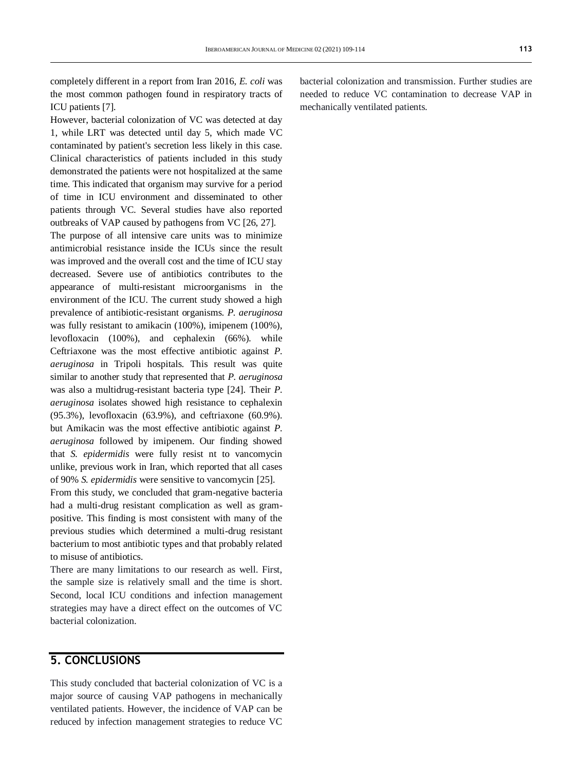completely different in a report from Iran 2016, *E. coli* was the most common pathogen found in respiratory tracts of ICU patients [7].

However, bacterial colonization of VC was detected at day 1, while LRT was detected until day 5, which made VC contaminated by patient's secretion less likely in this case. Clinical characteristics of patients included in this study demonstrated the patients were not hospitalized at the same time. This indicated that organism may survive for a period of time in ICU environment and disseminated to other patients through VC. Several studies have also reported outbreaks of VAP caused by pathogens from VC [26, 27].

The purpose of all intensive care units was to minimize antimicrobial resistance inside the ICUs since the result was improved and the overall cost and the time of ICU stay decreased. Severe use of antibiotics contributes to the appearance of multi-resistant microorganisms in the environment of the ICU. The current study showed a high prevalence of antibiotic-resistant organisms. *P. aeruginosa* was fully resistant to amikacin (100%), imipenem (100%), levofloxacin (100%), and cephalexin (66%). while Ceftriaxone was the most effective antibiotic against *P. aeruginosa* in Tripoli hospitals. This result was quite similar to another study that represented that *P. aeruginosa* was also a multidrug-resistant bacteria type [24]. Their *P. aeruginosa* isolates showed high resistance to cephalexin (95.3%), levofloxacin (63.9%), and ceftriaxone (60.9%). but Amikacin was the most effective antibiotic against *P. aeruginosa* followed by imipenem. Our finding showed that *S. epidermidis* were fully resist nt to vancomycin unlike, previous work in Iran, which reported that all cases of 90% *S. epidermidis* were sensitive to vancomycin [25].

From this study, we concluded that gram-negative bacteria had a multi-drug resistant complication as well as grampositive. This finding is most consistent with many of the previous studies which determined a multi-drug resistant bacterium to most antibiotic types and that probably related to misuse of antibiotics.

There are many limitations to our research as well. First, the sample size is relatively small and the time is short. Second, local ICU conditions and infection management strategies may have a direct effect on the outcomes of VC bacterial colonization.

## **5. CONCLUSIONS**

This study concluded that bacterial colonization of VC is a major source of causing VAP pathogens in mechanically ventilated patients. However, the incidence of VAP can be reduced by infection management strategies to reduce VC bacterial colonization and transmission. Further studies are needed to reduce VC contamination to decrease VAP in mechanically ventilated patients.